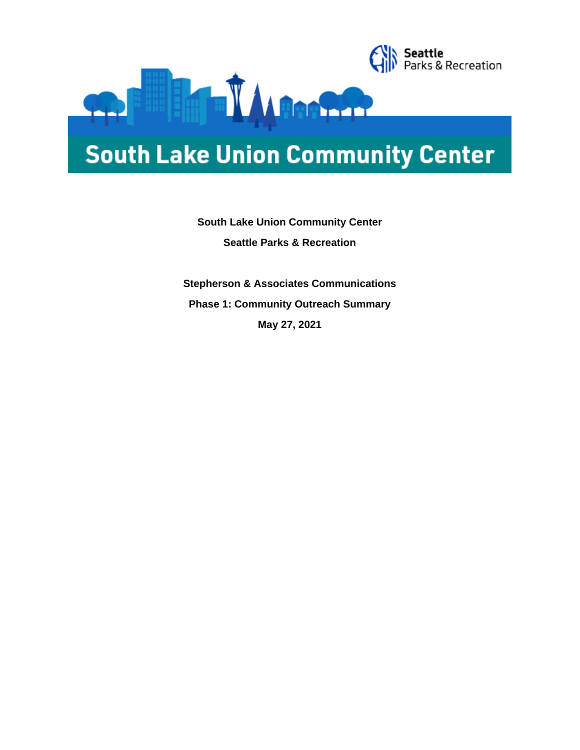

# **South Lake Union Community Center**

**Seattle**<br>Parks & Recreation

# **South Lake Union Community Center Seattle Parks & Recreation**

**Stepherson & Associates Communications Phase 1: Community Outreach Summary May 27, 2021**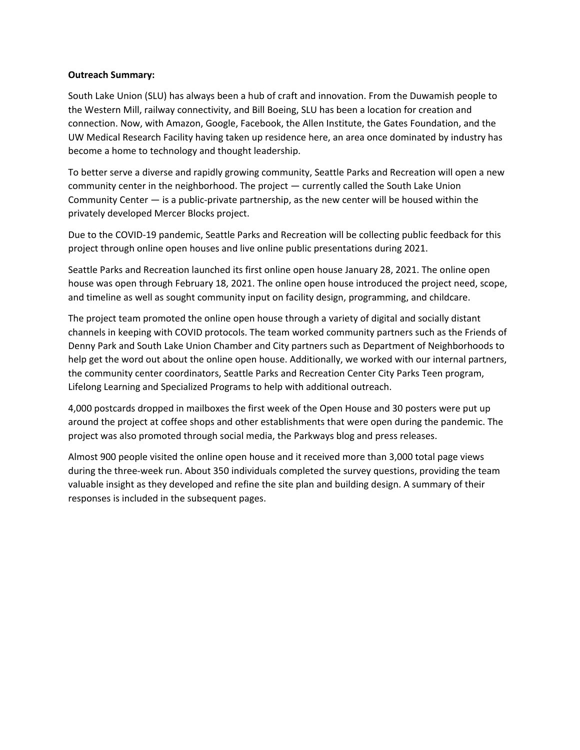#### **Outreach Summary:**

South Lake Union (SLU) has always been a hub of craft and innovation. From the Duwamish people to the Western Mill, railway connectivity, and Bill Boeing, SLU has been a location for creation and connection. Now, with Amazon, Google, Facebook, the Allen Institute, the Gates Foundation, and the UW Medical Research Facility having taken up residence here, an area once dominated by industry has become a home to technology and thought leadership.

To better serve a diverse and rapidly growing community, Seattle Parks and Recreation will open a new community center in the neighborhood. The project — currently called the South Lake Union Community Center — is a public-private partnership, as the new center will be housed within the privately developed Mercer Blocks project.

Due to the COVID-19 pandemic, Seattle Parks and Recreation will be collecting public feedback for this project through online open houses and live online public presentations during 2021.

Seattle Parks and Recreation launched its first online open house January 28, 2021. The online open house was open through February 18, 2021. The online open house introduced the project need, scope, and timeline as well as sought community input on facility design, programming, and childcare.

The project team promoted the online open house through a variety of digital and socially distant channels in keeping with COVID protocols. The team worked community partners such as the Friends of Denny Park and South Lake Union Chamber and City partners such as Department of Neighborhoods to help get the word out about the online open house. Additionally, we worked with our internal partners, the community center coordinators, Seattle Parks and Recreation Center City Parks Teen program, Lifelong Learning and Specialized Programs to help with additional outreach.

4,000 postcards dropped in mailboxes the first week of the Open House and 30 posters were put up around the project at coffee shops and other establishments that were open during the pandemic. The project was also promoted through social media, the Parkways blog and press releases.

Almost 900 people visited the online open house and it received more than 3,000 total page views during the three-week run. About 350 individuals completed the survey questions, providing the team valuable insight as they developed and refine the site plan and building design. A summary of their responses is included in the subsequent pages.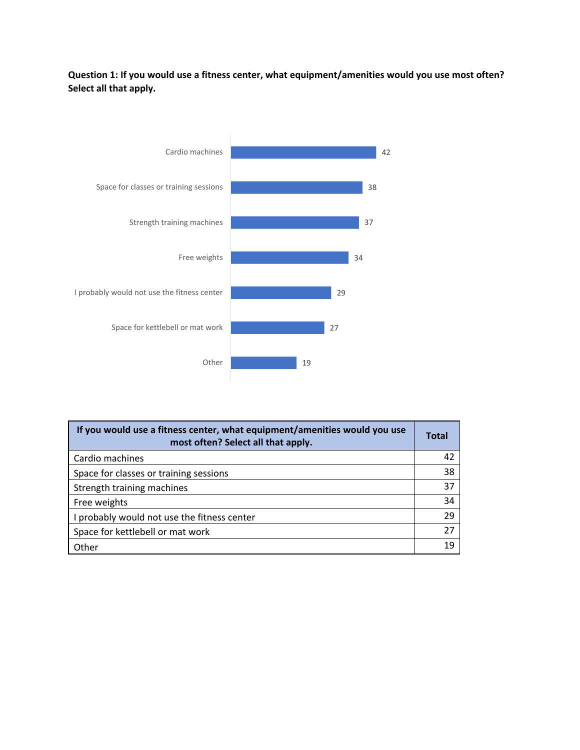## **Question 1: If you would use a fitness center, what equipment/amenities would you use most often? Select all that apply.**



| If you would use a fitness center, what equipment/amenities would you use<br>most often? Select all that apply. | Total |
|-----------------------------------------------------------------------------------------------------------------|-------|
| Cardio machines                                                                                                 | 42    |
| Space for classes or training sessions                                                                          | 38    |
| Strength training machines                                                                                      | 37    |
| Free weights                                                                                                    | 34    |
| probably would not use the fitness center                                                                       | 29    |
| Space for kettlebell or mat work                                                                                | 27    |
| Other                                                                                                           | 1 C   |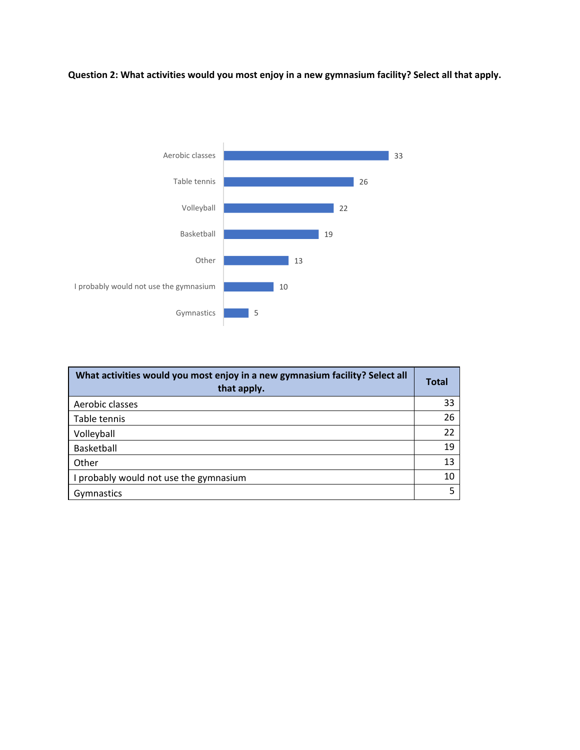# **Question 2: What activities would you most enjoy in a new gymnasium facility? Select all that apply.**



| What activities would you most enjoy in a new gymnasium facility? Select all<br>that apply. | <b>Total</b> |
|---------------------------------------------------------------------------------------------|--------------|
| Aerobic classes                                                                             | 33           |
| Table tennis                                                                                | 26           |
| Volleyball                                                                                  | 22           |
| Basketball                                                                                  | 19           |
| Other                                                                                       | 13           |
| I probably would not use the gymnasium                                                      | 10           |
| Gymnastics                                                                                  | 5            |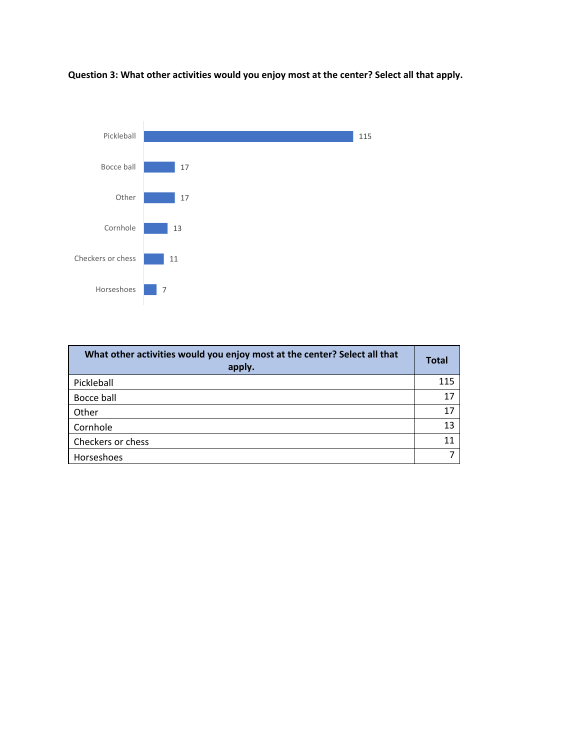

**Question 3: What other activities would you enjoy most at the center? Select all that apply.**

| What other activities would you enjoy most at the center? Select all that<br>apply. | <b>Total</b> |
|-------------------------------------------------------------------------------------|--------------|
| Pickleball                                                                          | 115          |
| Bocce ball                                                                          | 17           |
| Other                                                                               | 17           |
| Cornhole                                                                            | 13           |
| Checkers or chess                                                                   |              |
| Horseshoes                                                                          |              |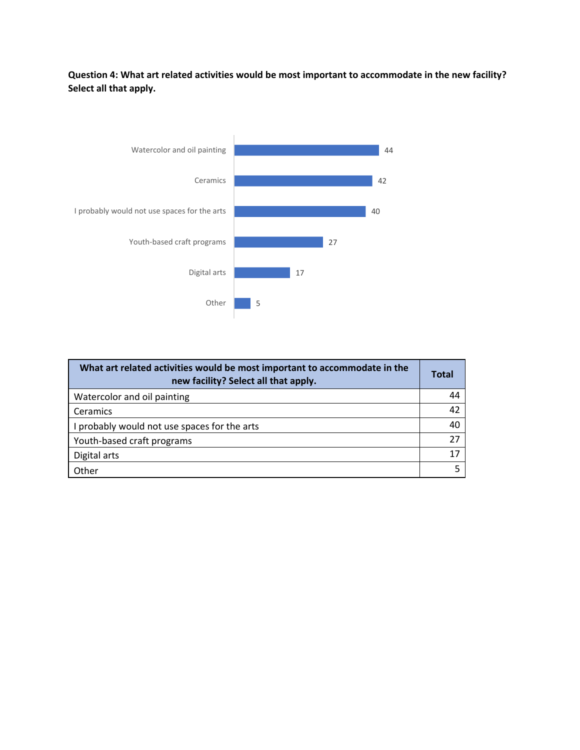## **Question 4: What art related activities would be most important to accommodate in the new facility? Select all that apply.**



| What art related activities would be most important to accommodate in the<br>new facility? Select all that apply. | <b>Total</b> |
|-------------------------------------------------------------------------------------------------------------------|--------------|
| Watercolor and oil painting                                                                                       | 44           |
| Ceramics                                                                                                          | 42           |
| I probably would not use spaces for the arts                                                                      | 40           |
| Youth-based craft programs                                                                                        | 27           |
| Digital arts                                                                                                      | 17           |
| Other                                                                                                             |              |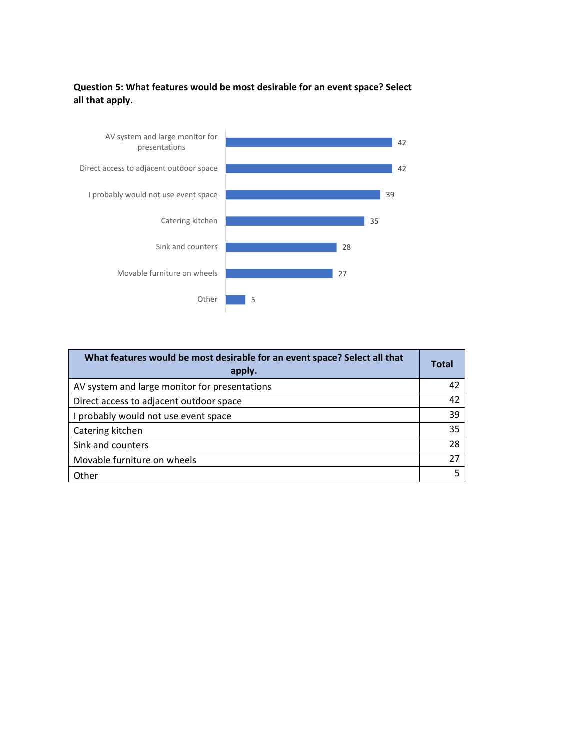#### **Question 5: What features would be most desirable for an event space? Select all that apply.**



| What features would be most desirable for an event space? Select all that<br>apply. | <b>Total</b> |
|-------------------------------------------------------------------------------------|--------------|
| AV system and large monitor for presentations                                       | 42           |
| Direct access to adjacent outdoor space                                             | 42           |
| probably would not use event space                                                  | 39           |
| Catering kitchen                                                                    | 35           |
| Sink and counters                                                                   | 28           |
| Movable furniture on wheels                                                         | 27           |
| Other                                                                               |              |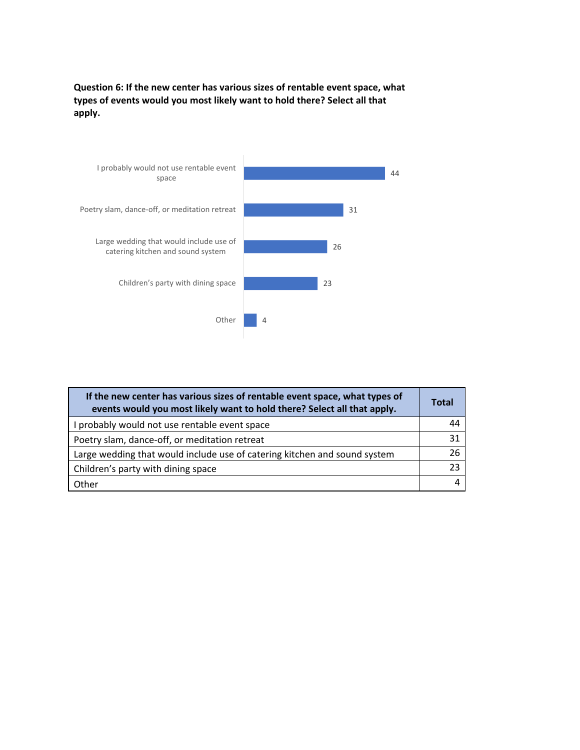**Question 6: If the new center has various sizes of rentable event space, what types of events would you most likely want to hold there? Select all that apply.**



| If the new center has various sizes of rentable event space, what types of<br>events would you most likely want to hold there? Select all that apply. | Total |
|-------------------------------------------------------------------------------------------------------------------------------------------------------|-------|
| I probably would not use rentable event space                                                                                                         | 44    |
| Poetry slam, dance-off, or meditation retreat                                                                                                         | 31    |
| Large wedding that would include use of catering kitchen and sound system                                                                             | 26    |
| Children's party with dining space                                                                                                                    | 23    |
| Other                                                                                                                                                 |       |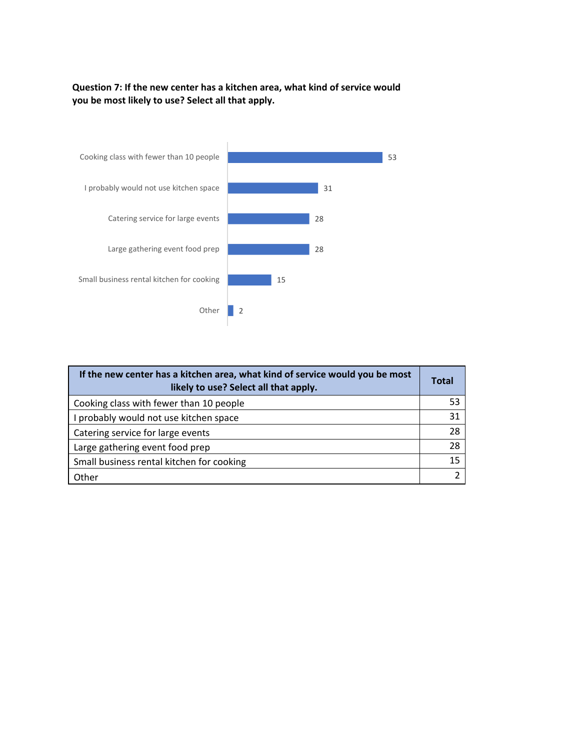#### **Question 7: If the new center has a kitchen area, what kind of service would you be most likely to use? Select all that apply.**



| If the new center has a kitchen area, what kind of service would you be most<br>likely to use? Select all that apply. | Total |
|-----------------------------------------------------------------------------------------------------------------------|-------|
| Cooking class with fewer than 10 people                                                                               | 53    |
| I probably would not use kitchen space                                                                                | 31    |
| Catering service for large events                                                                                     | 28    |
| Large gathering event food prep                                                                                       | 28    |
| Small business rental kitchen for cooking                                                                             | 15    |
| Other                                                                                                                 |       |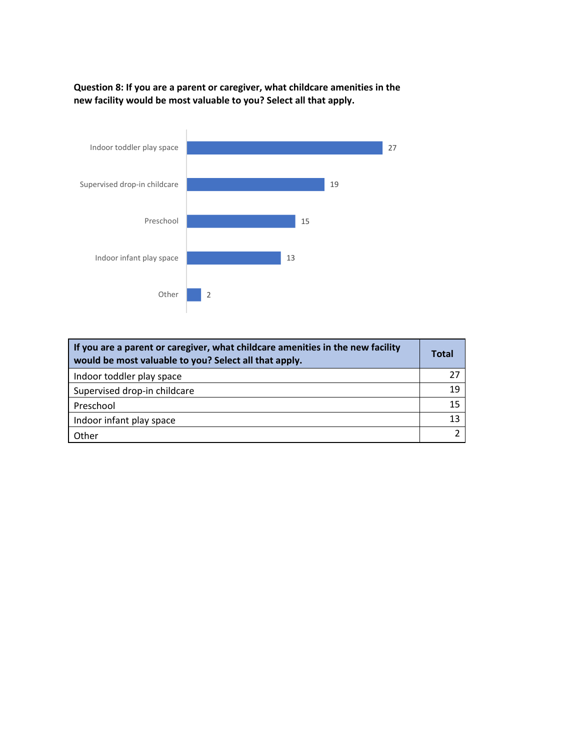**Question 8: If you are a parent or caregiver, what childcare amenities in the new facility would be most valuable to you? Select all that apply.**



| If you are a parent or caregiver, what childcare amenities in the new facility<br>would be most valuable to you? Select all that apply. | Total |
|-----------------------------------------------------------------------------------------------------------------------------------------|-------|
| Indoor toddler play space                                                                                                               | 27    |
| Supervised drop-in childcare                                                                                                            | 19    |
| Preschool                                                                                                                               | 15    |
| Indoor infant play space                                                                                                                | 13    |
| Other                                                                                                                                   |       |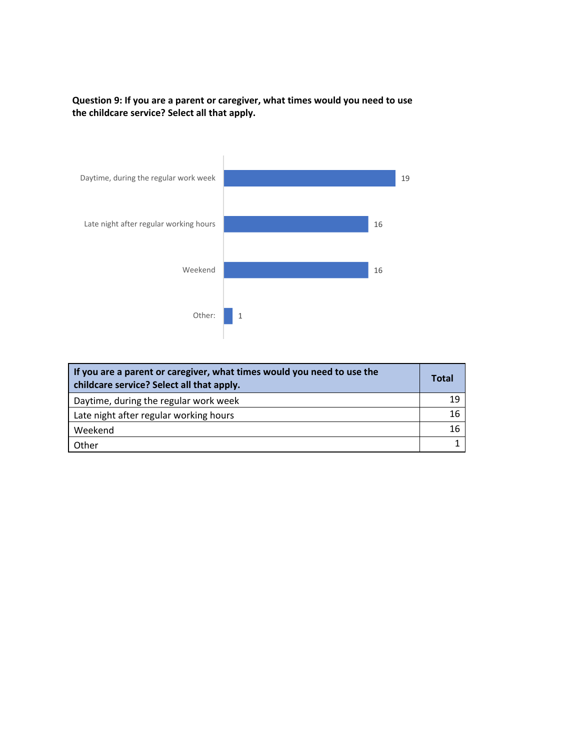



| If you are a parent or caregiver, what times would you need to use the<br>childcare service? Select all that apply. | <b>Total</b> |
|---------------------------------------------------------------------------------------------------------------------|--------------|
| Daytime, during the regular work week                                                                               | 19           |
| Late night after regular working hours                                                                              | 16           |
| Weekend                                                                                                             | 16           |
| Other                                                                                                               |              |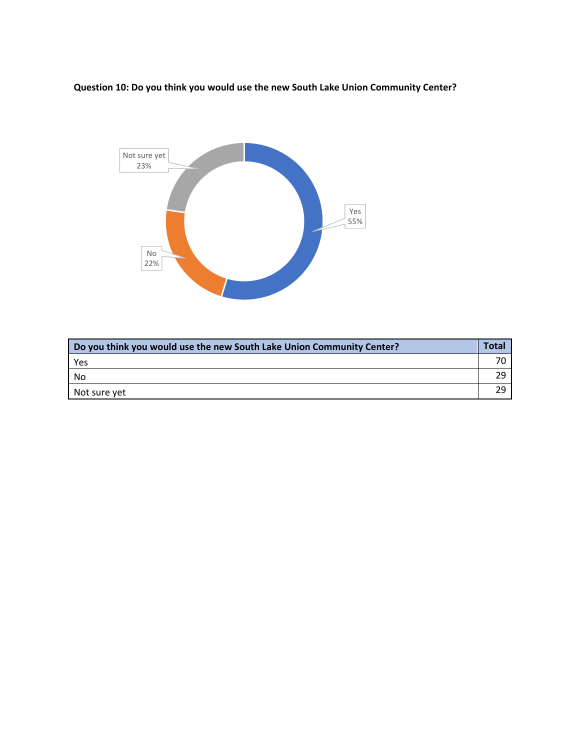**Question 10: Do you think you would use the new South Lake Union Community Center?**



| Do you think you would use the new South Lake Union Community Center? | <b>Total</b> |
|-----------------------------------------------------------------------|--------------|
| Yes                                                                   |              |
| No                                                                    | 29           |
| Not sure yet                                                          | 29           |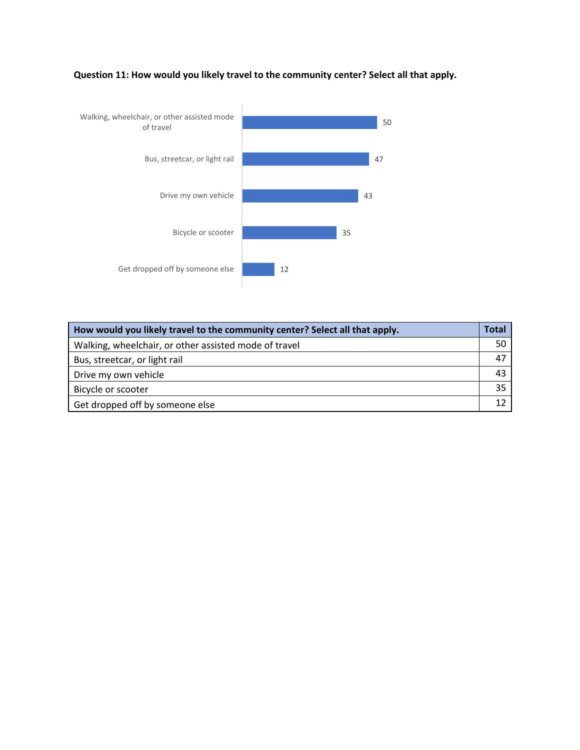

**Question 11: How would you likely travel to the community center? Select all that apply.**

| How would you likely travel to the community center? Select all that apply. | <b>Total</b> |
|-----------------------------------------------------------------------------|--------------|
| Walking, wheelchair, or other assisted mode of travel                       | 50           |
| Bus, streetcar, or light rail                                               | 47           |
| Drive my own vehicle                                                        | 43           |
| Bicycle or scooter                                                          | 35           |
| Get dropped off by someone else                                             | 12           |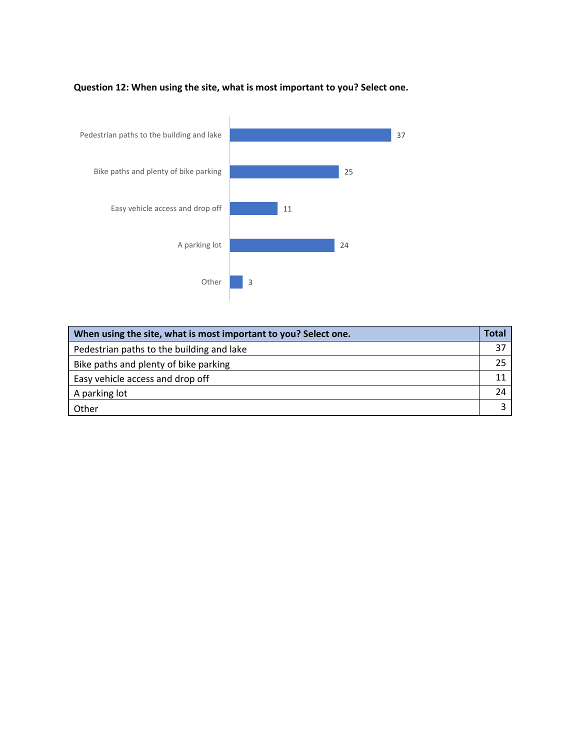#### **Question 12: When using the site, what is most important to you? Select one.**



| When using the site, what is most important to you? Select one. | Total |
|-----------------------------------------------------------------|-------|
| Pedestrian paths to the building and lake                       | 37    |
| Bike paths and plenty of bike parking                           | 25    |
| Easy vehicle access and drop off                                |       |
| A parking lot                                                   | 24    |
| Other                                                           |       |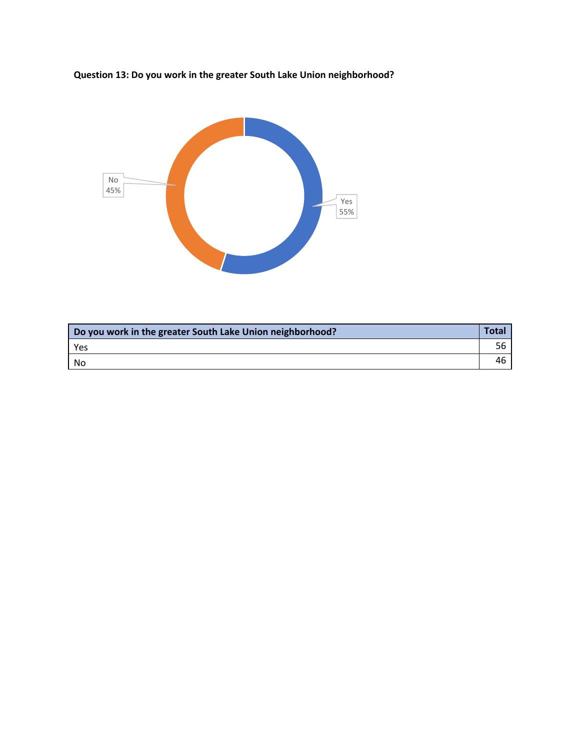



| Do you work in the greater South Lake Union neighborhood? | Total |
|-----------------------------------------------------------|-------|
| Yes                                                       | 56    |
| No                                                        | 46    |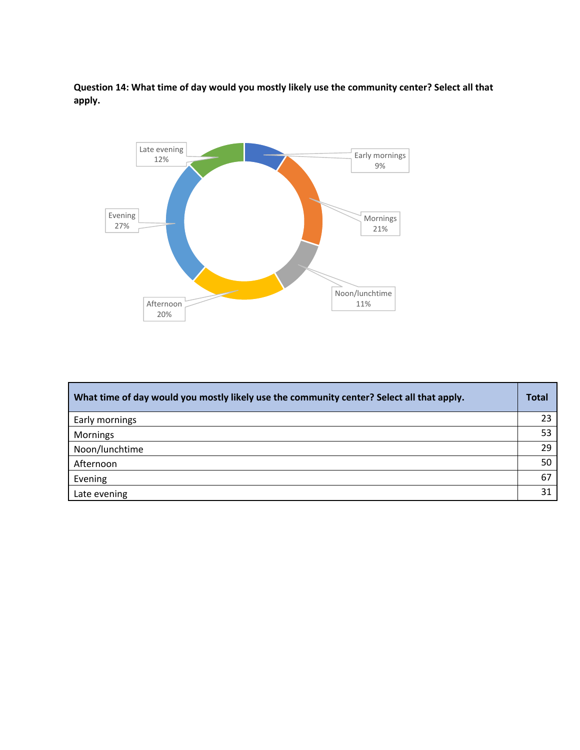**Question 14: What time of day would you mostly likely use the community center? Select all that apply.**



| What time of day would you mostly likely use the community center? Select all that apply. | <b>Total</b> |
|-------------------------------------------------------------------------------------------|--------------|
| Early mornings                                                                            | 23           |
| <b>Mornings</b>                                                                           | 53           |
| Noon/lunchtime                                                                            | 29           |
| Afternoon                                                                                 | 50           |
| Evening                                                                                   | 67           |
| Late evening                                                                              | 31           |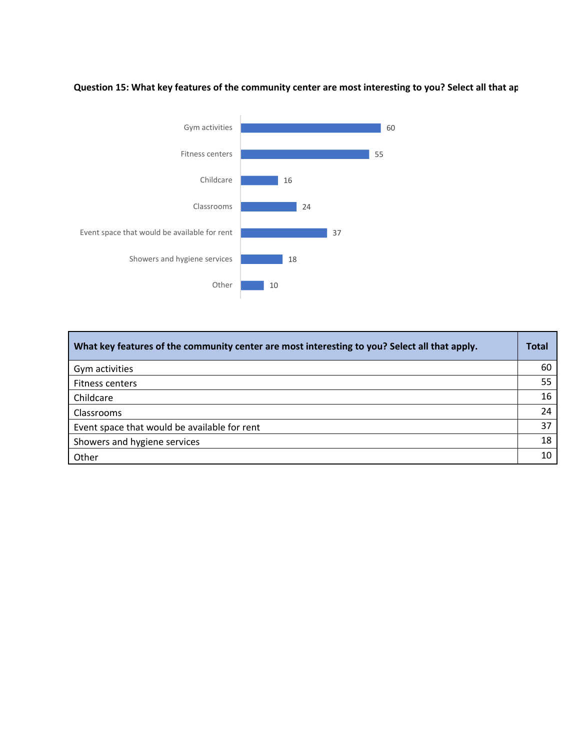# **Question 15: What key features of the community center are most interesting to you? Select all that ap**



| What key features of the community center are most interesting to you? Select all that apply. | <b>Total</b> |
|-----------------------------------------------------------------------------------------------|--------------|
| Gym activities                                                                                | 60           |
| <b>Fitness centers</b>                                                                        | 55           |
| Childcare                                                                                     | 16           |
| <b>Classrooms</b>                                                                             | 24           |
| Event space that would be available for rent                                                  | 37           |
| Showers and hygiene services                                                                  | 18           |
| Other                                                                                         | 10           |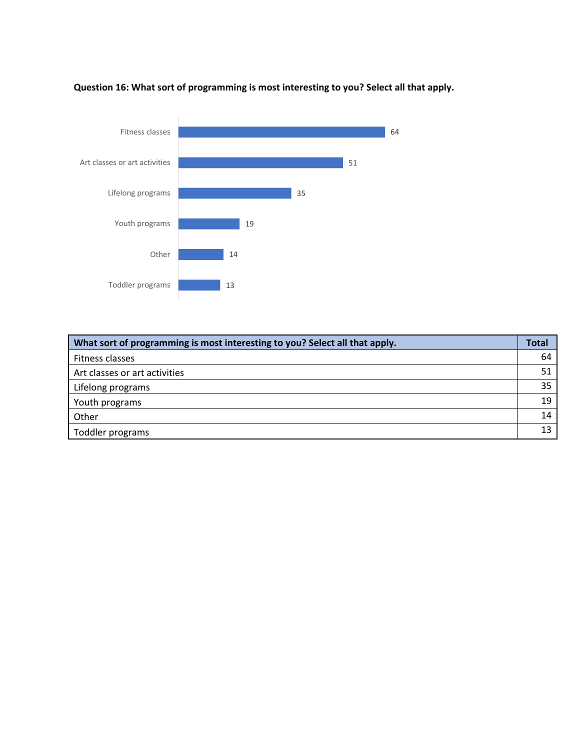

**Question 16: What sort of programming is most interesting to you? Select all that apply.**

| What sort of programming is most interesting to you? Select all that apply. | <b>Total</b> |
|-----------------------------------------------------------------------------|--------------|
| Fitness classes                                                             | 64           |
| Art classes or art activities                                               | 51           |
| Lifelong programs                                                           | 35           |
| Youth programs                                                              | 19           |
| Other                                                                       | 14           |
| Toddler programs                                                            |              |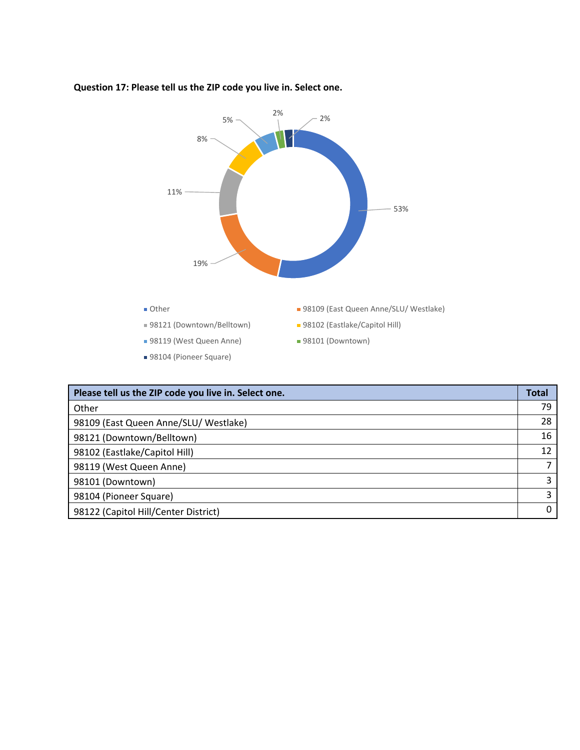

#### **Question 17: Please tell us the ZIP code you live in. Select one.**

| Please tell us the ZIP code you live in. Select one. | <b>Total</b> |
|------------------------------------------------------|--------------|
| Other                                                | 79           |
| 98109 (East Queen Anne/SLU/ Westlake)                | 28           |
| 98121 (Downtown/Belltown)                            | 16           |
| 98102 (Eastlake/Capitol Hill)                        | 12           |
| 98119 (West Queen Anne)                              |              |
| 98101 (Downtown)                                     | 3            |
| 98104 (Pioneer Square)                               | 3            |
| 98122 (Capitol Hill/Center District)                 | $\Omega$     |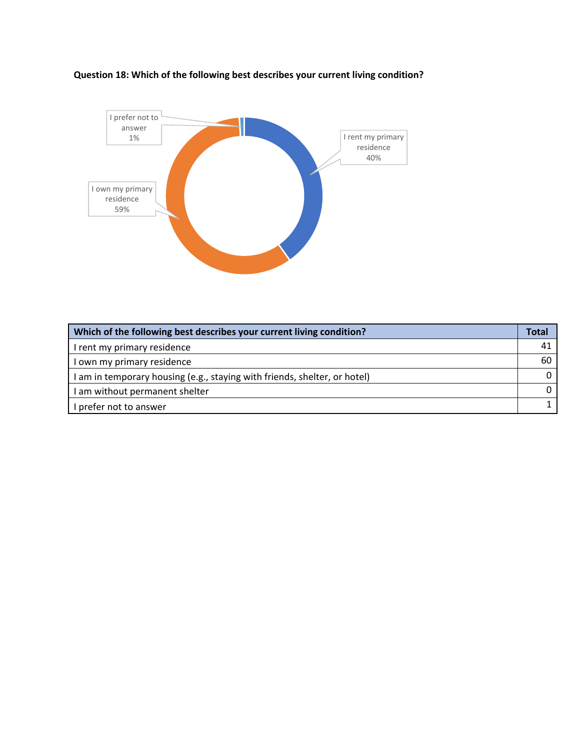

# **Question 18: Which of the following best describes your current living condition?**

| Which of the following best describes your current living condition?      | <b>Total</b> |
|---------------------------------------------------------------------------|--------------|
| I rent my primary residence                                               | 41           |
| I own my primary residence                                                | 60           |
| I am in temporary housing (e.g., staying with friends, shelter, or hotel) |              |
| I am without permanent shelter                                            |              |
| I prefer not to answer                                                    |              |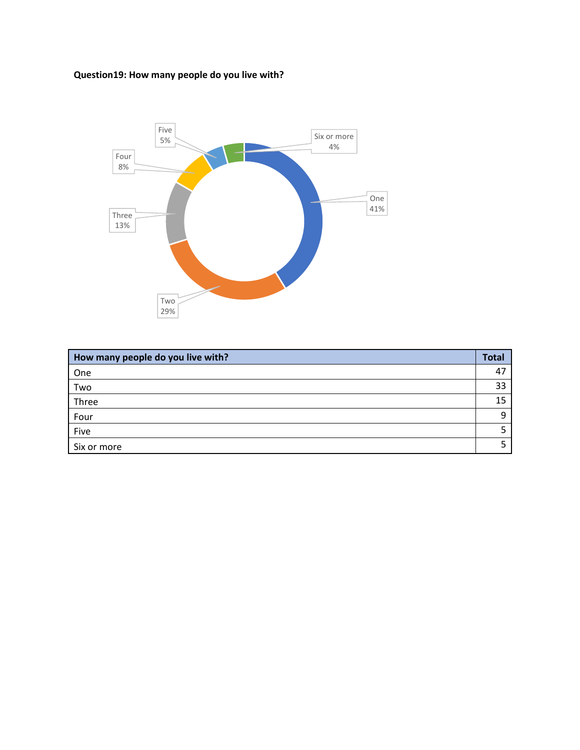# **Question19: How many people do you live with?**



| How many people do you live with? | <b>Total</b> |
|-----------------------------------|--------------|
| One                               | -47          |
| Two                               | 33           |
| Three                             | 15           |
| Four                              | Ω            |
| Five                              |              |
| Six or more                       |              |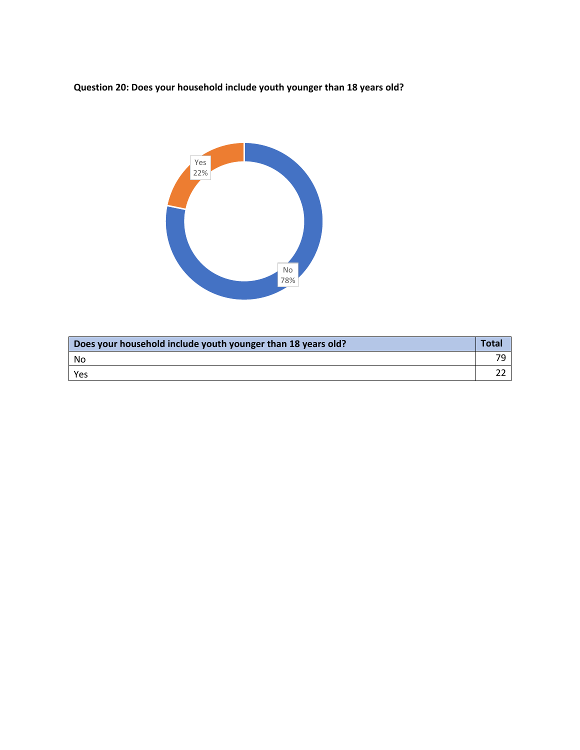**Question 20: Does your household include youth younger than 18 years old?**



| Does your household include youth younger than 18 years old? | <b>Total</b> |
|--------------------------------------------------------------|--------------|
| No                                                           | 7С           |
| Yes                                                          |              |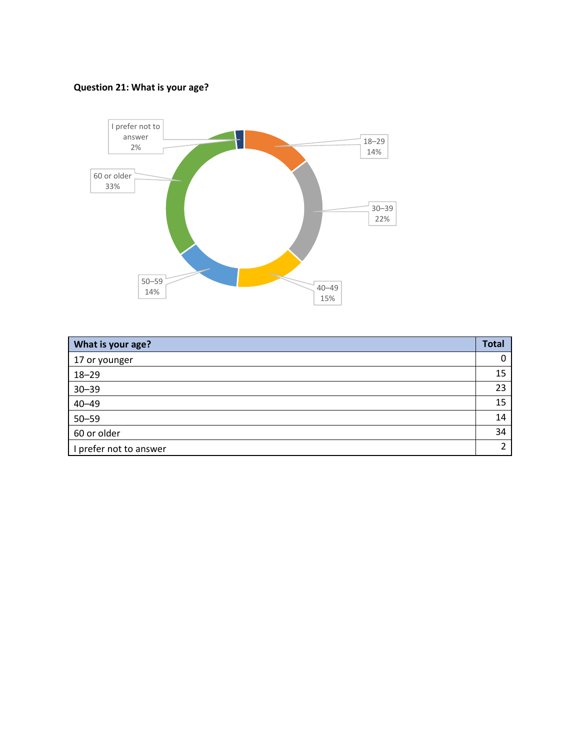# **Question 21: What is your age?**



| What is your age?      | <b>Total</b> |
|------------------------|--------------|
| 17 or younger          | 0            |
| $18 - 29$              | 15           |
| $30 - 39$              | 23           |
| $40 - 49$              | 15           |
| $50 - 59$              | 14           |
| 60 or older            | 34           |
| I prefer not to answer | C.           |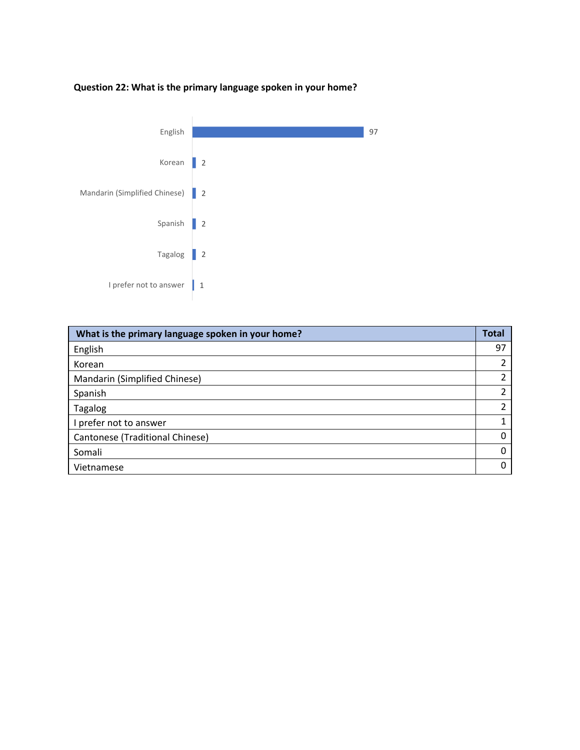# **Question 22: What is the primary language spoken in your home?**



| What is the primary language spoken in your home? | <b>Total</b> |
|---------------------------------------------------|--------------|
| English                                           | 97           |
| Korean                                            | າ            |
| Mandarin (Simplified Chinese)                     | C            |
| Spanish                                           | 2            |
| Tagalog                                           | 2            |
| I prefer not to answer                            | 1            |
| Cantonese (Traditional Chinese)                   | 0            |
| Somali                                            | Ω            |
| Vietnamese                                        |              |